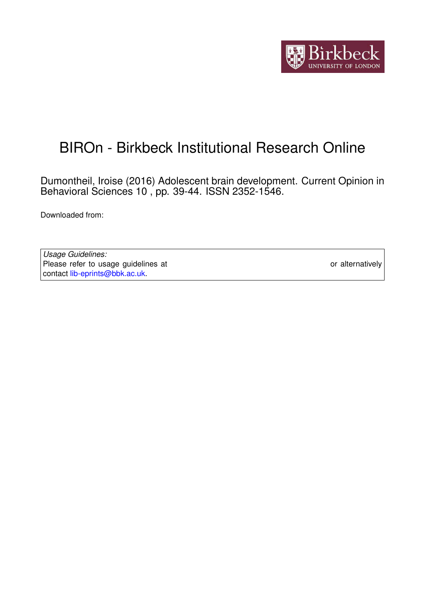

# BIROn - Birkbeck Institutional Research Online

Dumontheil, Iroise (2016) Adolescent brain development. Current Opinion in Behavioral Sciences 10 , pp. 39-44. ISSN 2352-1546.

Downloaded from: <https://eprints.bbk.ac.uk/id/eprint/15037/>

*Usage Guidelines:* Please refer to usage guidelines at <https://eprints.bbk.ac.uk/policies.html> or alternatively contact [lib-eprints@bbk.ac.uk.](mailto:lib-eprints@bbk.ac.uk)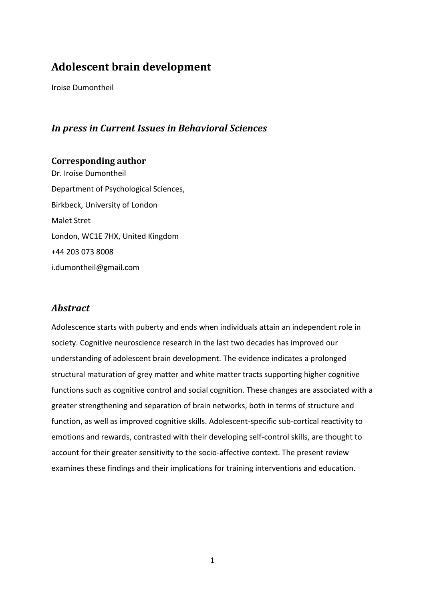# **Adolescent brain development**

Iroise Dumontheil

### *In press in Current Issues in Behavioral Sciences*

**Corresponding author** Dr. Iroise Dumontheil Department of Psychological Sciences, Birkbeck, University of London Malet Stret London, WC1E 7HX, United Kingdom +44 203 073 8008 i.dumontheil@gmail.com

### *Abstract*

Adolescence starts with puberty and ends when individuals attain an independent role in society. Cognitive neuroscience research in the last two decades has improved our understanding of adolescent brain development. The evidence indicates a prolonged structural maturation of grey matter and white matter tracts supporting higher cognitive functions such as cognitive control and social cognition. These changes are associated with a greater strengthening and separation of brain networks, both in terms of structure and function, as well as improved cognitive skills. Adolescent-specific sub-cortical reactivity to emotions and rewards, contrasted with their developing self-control skills, are thought to account for their greater sensitivity to the socio-affective context. The present review examines these findings and their implications for training interventions and education.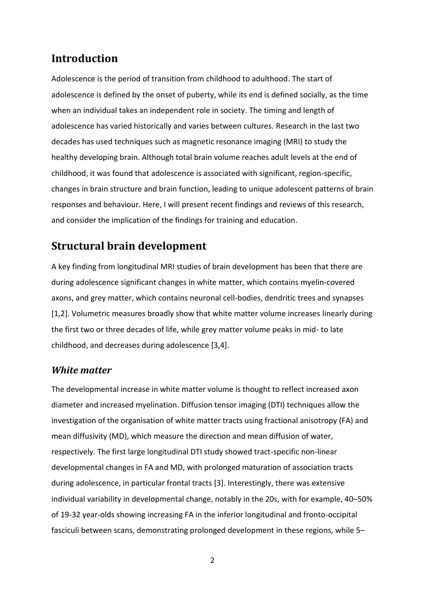## **Introduction**

Adolescence is the period of transition from childhood to adulthood. The start of adolescence is defined by the onset of puberty, while its end is defined socially, as the time when an individual takes an independent role in society. The timing and length of adolescence has varied historically and varies between cultures. Research in the last two decades has used techniques such as magnetic resonance imaging (MRI) to study the healthy developing brain. Although total brain volume reaches adult levels at the end of childhood, it was found that adolescence is associated with significant, region-specific, changes in brain structure and brain function, leading to unique adolescent patterns of brain responses and behaviour. Here, I will present recent findings and reviews of this research, and consider the implication of the findings for training and education.

# **Structural brain development**

A key finding from longitudinal MRI studies of brain development has been that there are during adolescence significant changes in white matter, which contains myelin-covered axons, and grey matter, which contains neuronal cell-bodies, dendritic trees and synapses [1,2]. Volumetric measures broadly show that white matter volume increases linearly during the first two or three decades of life, while grey matter volume peaks in mid- to late childhood, and decreases during adolescence [3,4].

### *White matter*

The developmental increase in white matter volume is thought to reflect increased axon diameter and increased myelination. Diffusion tensor imaging (DTI) techniques allow the investigation of the organisation of white matter tracts using fractional anisotropy (FA) and mean diffusivity (MD), which measure the direction and mean diffusion of water, respectively. The first large longitudinal DTI study showed tract-specific non-linear developmental changes in FA and MD, with prolonged maturation of association tracts during adolescence, in particular frontal tracts [3]. Interestingly, there was extensive individual variability in developmental change, notably in the 20s, with for example, 40–50% of 19-32 year-olds showing increasing FA in the inferior longitudinal and fronto-occipital fasciculi between scans, demonstrating prolonged development in these regions, while 5–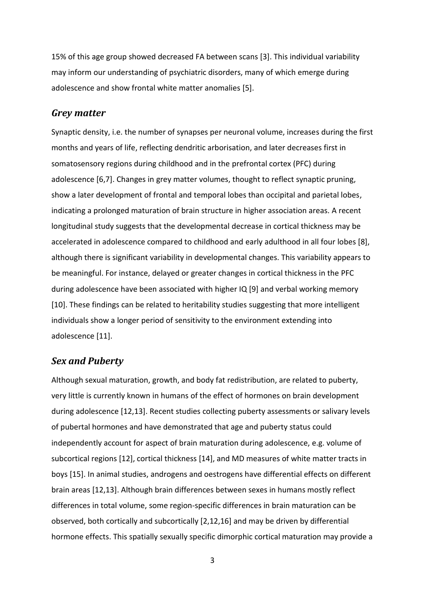15% of this age group showed decreased FA between scans [3]. This individual variability may inform our understanding of psychiatric disorders, many of which emerge during adolescence and show frontal white matter anomalies [5].

#### *Grey matter*

Synaptic density, i.e. the number of synapses per neuronal volume, increases during the first months and years of life, reflecting dendritic arborisation, and later decreases first in somatosensory regions during childhood and in the prefrontal cortex (PFC) during adolescence [6,7]. Changes in grey matter volumes, thought to reflect synaptic pruning, show a later development of frontal and temporal lobes than occipital and parietal lobes, indicating a prolonged maturation of brain structure in higher association areas. A recent longitudinal study suggests that the developmental decrease in cortical thickness may be accelerated in adolescence compared to childhood and early adulthood in all four lobes [8], although there is significant variability in developmental changes. This variability appears to be meaningful. For instance, delayed or greater changes in cortical thickness in the PFC during adolescence have been associated with higher IQ [9] and verbal working memory [10]. These findings can be related to heritability studies suggesting that more intelligent individuals show a longer period of sensitivity to the environment extending into adolescence [11].

### *Sex and Puberty*

Although sexual maturation, growth, and body fat redistribution, are related to puberty, very little is currently known in humans of the effect of hormones on brain development during adolescence [12,13]. Recent studies collecting puberty assessments or salivary levels of pubertal hormones and have demonstrated that age and puberty status could independently account for aspect of brain maturation during adolescence, e.g. volume of subcortical regions [12], cortical thickness [14], and MD measures of white matter tracts in boys [15]. In animal studies, androgens and oestrogens have differential effects on different brain areas [12,13]. Although brain differences between sexes in humans mostly reflect differences in total volume, some region-specific differences in brain maturation can be observed, both cortically and subcortically [2,12,16] and may be driven by differential hormone effects. This spatially sexually specific dimorphic cortical maturation may provide a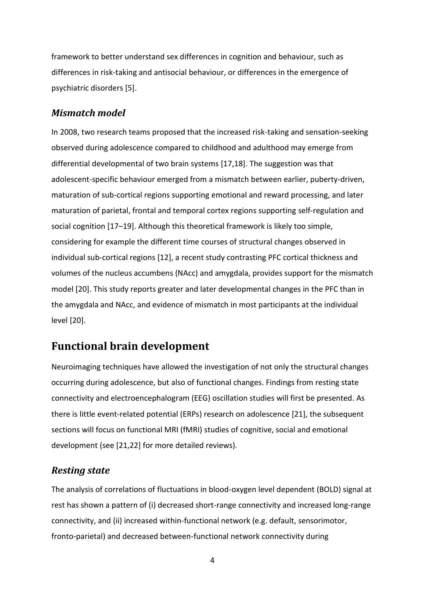framework to better understand sex differences in cognition and behaviour, such as differences in risk-taking and antisocial behaviour, or differences in the emergence of psychiatric disorders [5].

### *Mismatch model*

In 2008, two research teams proposed that the increased risk-taking and sensation-seeking observed during adolescence compared to childhood and adulthood may emerge from differential developmental of two brain systems [17,18]. The suggestion was that adolescent-specific behaviour emerged from a mismatch between earlier, puberty-driven, maturation of sub-cortical regions supporting emotional and reward processing, and later maturation of parietal, frontal and temporal cortex regions supporting self-regulation and social cognition [17–19]. Although this theoretical framework is likely too simple, considering for example the different time courses of structural changes observed in individual sub-cortical regions [12], a recent study contrasting PFC cortical thickness and volumes of the nucleus accumbens (NAcc) and amygdala, provides support for the mismatch model [20]. This study reports greater and later developmental changes in the PFC than in the amygdala and NAcc, and evidence of mismatch in most participants at the individual level [20].

### **Functional brain development**

Neuroimaging techniques have allowed the investigation of not only the structural changes occurring during adolescence, but also of functional changes. Findings from resting state connectivity and electroencephalogram (EEG) oscillation studies will first be presented. As there is little event-related potential (ERPs) research on adolescence [21], the subsequent sections will focus on functional MRI (fMRI) studies of cognitive, social and emotional development (see [21,22] for more detailed reviews).

#### *Resting state*

The analysis of correlations of fluctuations in blood-oxygen level dependent (BOLD) signal at rest has shown a pattern of (i) decreased short-range connectivity and increased long-range connectivity, and (ii) increased within-functional network (e.g. default, sensorimotor, fronto-parietal) and decreased between-functional network connectivity during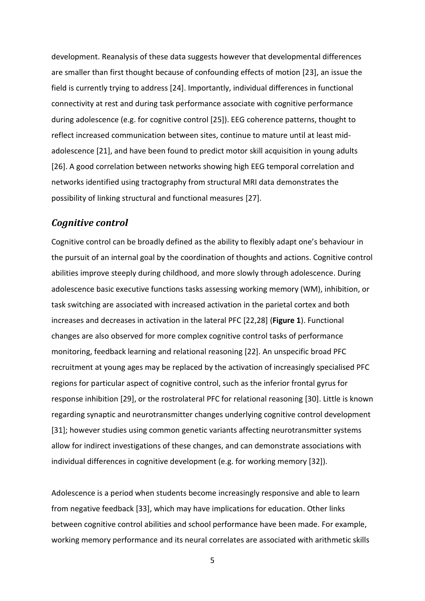development. Reanalysis of these data suggests however that developmental differences are smaller than first thought because of confounding effects of motion [23], an issue the field is currently trying to address [24]. Importantly, individual differences in functional connectivity at rest and during task performance associate with cognitive performance during adolescence (e.g. for cognitive control [25]). EEG coherence patterns, thought to reflect increased communication between sites, continue to mature until at least midadolescence [21], and have been found to predict motor skill acquisition in young adults [26]. A good correlation between networks showing high EEG temporal correlation and networks identified using tractography from structural MRI data demonstrates the possibility of linking structural and functional measures [27].

### *Cognitive control*

Cognitive control can be broadly defined as the ability to flexibly adapt one's behaviour in the pursuit of an internal goal by the coordination of thoughts and actions. Cognitive control abilities improve steeply during childhood, and more slowly through adolescence. During adolescence basic executive functions tasks assessing working memory (WM), inhibition, or task switching are associated with increased activation in the parietal cortex and both increases and decreases in activation in the lateral PFC [22,28] (**Figure 1**). Functional changes are also observed for more complex cognitive control tasks of performance monitoring, feedback learning and relational reasoning [22]. An unspecific broad PFC recruitment at young ages may be replaced by the activation of increasingly specialised PFC regions for particular aspect of cognitive control, such as the inferior frontal gyrus for response inhibition [29], or the rostrolateral PFC for relational reasoning [30]. Little is known regarding synaptic and neurotransmitter changes underlying cognitive control development [31]; however studies using common genetic variants affecting neurotransmitter systems allow for indirect investigations of these changes, and can demonstrate associations with individual differences in cognitive development (e.g. for working memory [32]).

Adolescence is a period when students become increasingly responsive and able to learn from negative feedback [33], which may have implications for education. Other links between cognitive control abilities and school performance have been made. For example, working memory performance and its neural correlates are associated with arithmetic skills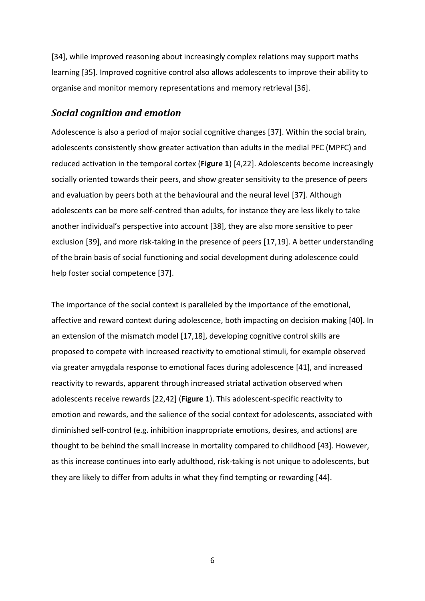[34], while improved reasoning about increasingly complex relations may support maths learning [35]. Improved cognitive control also allows adolescents to improve their ability to organise and monitor memory representations and memory retrieval [36].

#### *Social cognition and emotion*

Adolescence is also a period of major social cognitive changes [37]. Within the social brain, adolescents consistently show greater activation than adults in the medial PFC (MPFC) and reduced activation in the temporal cortex (**Figure 1**) [4,22]. Adolescents become increasingly socially oriented towards their peers, and show greater sensitivity to the presence of peers and evaluation by peers both at the behavioural and the neural level [37]. Although adolescents can be more self-centred than adults, for instance they are less likely to take another individual's perspective into account [38], they are also more sensitive to peer exclusion [39], and more risk-taking in the presence of peers [17,19]. A better understanding of the brain basis of social functioning and social development during adolescence could help foster social competence [37].

The importance of the social context is paralleled by the importance of the emotional, affective and reward context during adolescence, both impacting on decision making [40]. In an extension of the mismatch model [17,18], developing cognitive control skills are proposed to compete with increased reactivity to emotional stimuli, for example observed via greater amygdala response to emotional faces during adolescence [41], and increased reactivity to rewards, apparent through increased striatal activation observed when adolescents receive rewards [22,42] (**Figure 1**). This adolescent-specific reactivity to emotion and rewards, and the salience of the social context for adolescents, associated with diminished self-control (e.g. inhibition inappropriate emotions, desires, and actions) are thought to be behind the small increase in mortality compared to childhood [43]. However, as this increase continues into early adulthood, risk-taking is not unique to adolescents, but they are likely to differ from adults in what they find tempting or rewarding [44].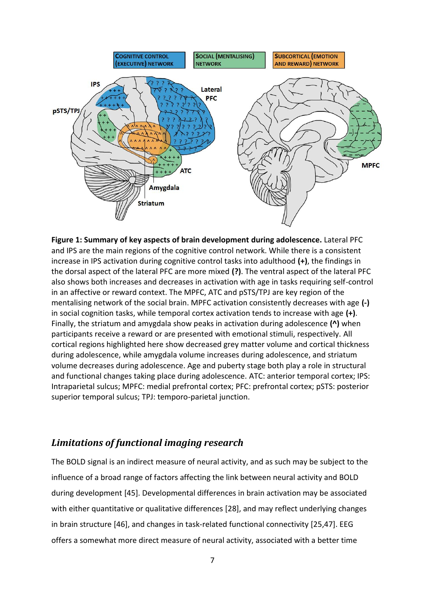

**Figure 1: Summary of key aspects of brain development during adolescence.** Lateral PFC and IPS are the main regions of the cognitive control network. While there is a consistent increase in IPS activation during cognitive control tasks into adulthood **(+)**, the findings in the dorsal aspect of the lateral PFC are more mixed **(?)**. The ventral aspect of the lateral PFC also shows both increases and decreases in activation with age in tasks requiring self-control in an affective or reward context. The MPFC, ATC and pSTS/TPJ are key region of the mentalising network of the social brain. MPFC activation consistently decreases with age **(-)** in social cognition tasks, while temporal cortex activation tends to increase with age **(+)**. Finally, the striatum and amygdala show peaks in activation during adolescence **(^)** when participants receive a reward or are presented with emotional stimuli, respectively. All cortical regions highlighted here show decreased grey matter volume and cortical thickness during adolescence, while amygdala volume increases during adolescence, and striatum volume decreases during adolescence. Age and puberty stage both play a role in structural and functional changes taking place during adolescence. ATC: anterior temporal cortex; IPS: Intraparietal sulcus; MPFC: medial prefrontal cortex; PFC: prefrontal cortex; pSTS: posterior superior temporal sulcus; TPJ: temporo-parietal junction.

### *Limitations of functional imaging research*

The BOLD signal is an indirect measure of neural activity, and as such may be subject to the influence of a broad range of factors affecting the link between neural activity and BOLD during development [45]. Developmental differences in brain activation may be associated with either quantitative or qualitative differences [28], and may reflect underlying changes in brain structure [46], and changes in task-related functional connectivity [25,47]. EEG offers a somewhat more direct measure of neural activity, associated with a better time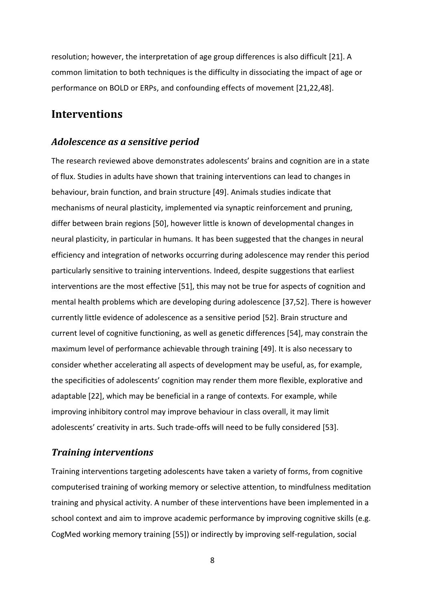resolution; however, the interpretation of age group differences is also difficult [21]. A common limitation to both techniques is the difficulty in dissociating the impact of age or performance on BOLD or ERPs, and confounding effects of movement [21,22,48].

### **Interventions**

#### *Adolescence as a sensitive period*

The research reviewed above demonstrates adolescents' brains and cognition are in a state of flux. Studies in adults have shown that training interventions can lead to changes in behaviour, brain function, and brain structure [49]. Animals studies indicate that mechanisms of neural plasticity, implemented via synaptic reinforcement and pruning, differ between brain regions [50], however little is known of developmental changes in neural plasticity, in particular in humans. It has been suggested that the changes in neural efficiency and integration of networks occurring during adolescence may render this period particularly sensitive to training interventions. Indeed, despite suggestions that earliest interventions are the most effective [51], this may not be true for aspects of cognition and mental health problems which are developing during adolescence [37,52]. There is however currently little evidence of adolescence as a sensitive period [52]. Brain structure and current level of cognitive functioning, as well as genetic differences [54], may constrain the maximum level of performance achievable through training [49]. It is also necessary to consider whether accelerating all aspects of development may be useful, as, for example, the specificities of adolescents' cognition may render them more flexible, explorative and adaptable [22], which may be beneficial in a range of contexts. For example, while improving inhibitory control may improve behaviour in class overall, it may limit adolescents' creativity in arts. Such trade-offs will need to be fully considered [53].

#### *Training interventions*

Training interventions targeting adolescents have taken a variety of forms, from cognitive computerised training of working memory or selective attention, to mindfulness meditation training and physical activity. A number of these interventions have been implemented in a school context and aim to improve academic performance by improving cognitive skills (e.g. CogMed working memory training [55]) or indirectly by improving self-regulation, social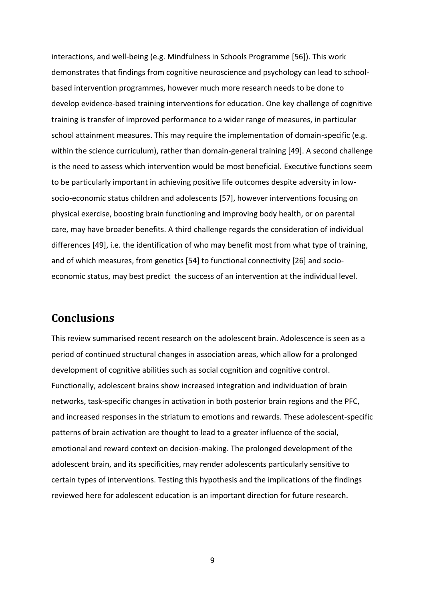interactions, and well-being (e.g. Mindfulness in Schools Programme [56]). This work demonstrates that findings from cognitive neuroscience and psychology can lead to schoolbased intervention programmes, however much more research needs to be done to develop evidence-based training interventions for education. One key challenge of cognitive training is transfer of improved performance to a wider range of measures, in particular school attainment measures. This may require the implementation of domain-specific (e.g. within the science curriculum), rather than domain-general training [49]. A second challenge is the need to assess which intervention would be most beneficial. Executive functions seem to be particularly important in achieving positive life outcomes despite adversity in lowsocio-economic status children and adolescents [57], however interventions focusing on physical exercise, boosting brain functioning and improving body health, or on parental care, may have broader benefits. A third challenge regards the consideration of individual differences [49], i.e. the identification of who may benefit most from what type of training, and of which measures, from genetics [54] to functional connectivity [26] and socioeconomic status, may best predict the success of an intervention at the individual level.

### **Conclusions**

This review summarised recent research on the adolescent brain. Adolescence is seen as a period of continued structural changes in association areas, which allow for a prolonged development of cognitive abilities such as social cognition and cognitive control. Functionally, adolescent brains show increased integration and individuation of brain networks, task-specific changes in activation in both posterior brain regions and the PFC, and increased responses in the striatum to emotions and rewards. These adolescent-specific patterns of brain activation are thought to lead to a greater influence of the social, emotional and reward context on decision-making. The prolonged development of the adolescent brain, and its specificities, may render adolescents particularly sensitive to certain types of interventions. Testing this hypothesis and the implications of the findings reviewed here for adolescent education is an important direction for future research.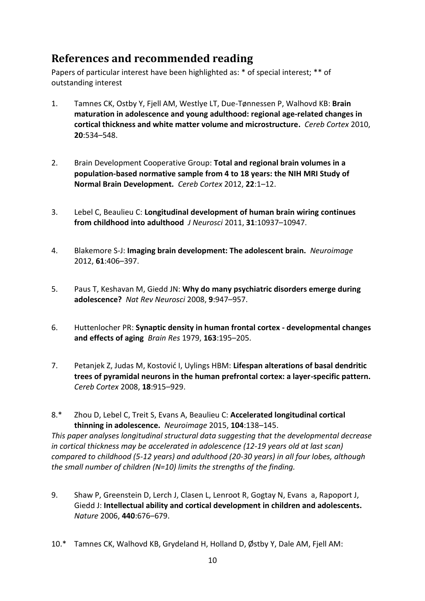# **References and recommended reading**

Papers of particular interest have been highlighted as: \* of special interest; \*\* of outstanding interest

- 1. Tamnes CK, Ostby Y, Fjell AM, Westlye LT, Due-Tønnessen P, Walhovd KB: **Brain maturation in adolescence and young adulthood: regional age-related changes in cortical thickness and white matter volume and microstructure.** *Cereb Cortex* 2010, **20**:534–548.
- 2. Brain Development Cooperative Group: **Total and regional brain volumes in a population-based normative sample from 4 to 18 years: the NIH MRI Study of Normal Brain Development.** *Cereb Cortex* 2012, **22**:1–12.
- 3. Lebel C, Beaulieu C: **Longitudinal development of human brain wiring continues from childhood into adulthood** *J Neurosci* 2011, **31**:10937–10947.
- 4. Blakemore S-J: **Imaging brain development: The adolescent brain.** *Neuroimage* 2012, **61**:406–397.
- 5. Paus T, Keshavan M, Giedd JN: **Why do many psychiatric disorders emerge during adolescence?** *Nat Rev Neurosci* 2008, **9**:947–957.
- 6. Huttenlocher PR: **Synaptic density in human frontal cortex - developmental changes and effects of aging** *Brain Res* 1979, **163**:195–205.
- 7. Petanjek Z, Judas M, Kostović I, Uylings HBM: **Lifespan alterations of basal dendritic trees of pyramidal neurons in the human prefrontal cortex: a layer-specific pattern.**  *Cereb Cortex* 2008, **18**:915–929.
- 8.\* Zhou D, Lebel C, Treit S, Evans A, Beaulieu C: **Accelerated longitudinal cortical thinning in adolescence.** *Neuroimage* 2015, **104**:138–145. *This paper analyses longitudinal structural data suggesting that the developmental decrease in cortical thickness may be accelerated in adolescence (12-19 years old at last scan) compared to childhood (5-12 years) and adulthood (20-30 years) in all four lobes, although the small number of children (N=10) limits the strengths of the finding.*
- 9. Shaw P, Greenstein D, Lerch J, Clasen L, Lenroot R, Gogtay N, Evans a, Rapoport J, Giedd J: **Intellectual ability and cortical development in children and adolescents.**  *Nature* 2006, **440**:676–679.
- 10.\* Tamnes CK, Walhovd KB, Grydeland H, Holland D, Østby Y, Dale AM, Fjell AM: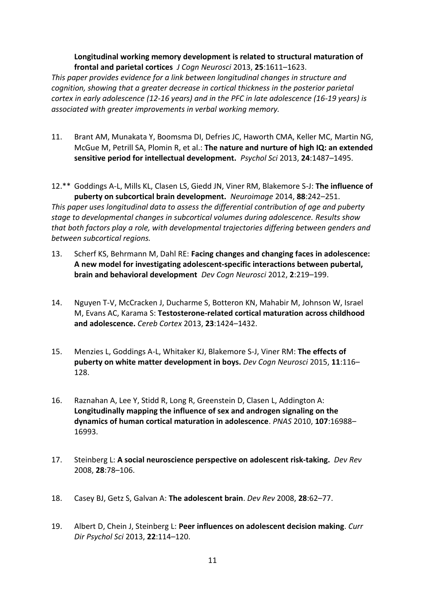**Longitudinal working memory development is related to structural maturation of frontal and parietal cortices** *J Cogn Neurosci* 2013, **25**:1611–1623.

*This paper provides evidence for a link between longitudinal changes in structure and cognition, showing that a greater decrease in cortical thickness in the posterior parietal cortex in early adolescence (12-16 years) and in the PFC in late adolescence (16-19 years) is associated with greater improvements in verbal working memory.*

11. Brant AM, Munakata Y, Boomsma DI, Defries JC, Haworth CMA, Keller MC, Martin NG, McGue M, Petrill SA, Plomin R, et al.: **The nature and nurture of high IQ: an extended sensitive period for intellectual development.** *Psychol Sci* 2013, **24**:1487–1495.

12.\*\* Goddings A-L, Mills KL, Clasen LS, Giedd JN, Viner RM, Blakemore S-J: **The influence of puberty on subcortical brain development.** *Neuroimage* 2014, **88**:242–251. *This paper uses longitudinal data to assess the differential contribution of age and puberty stage to developmental changes in subcortical volumes during adolescence. Results show that both factors play a role, with developmental trajectories differing between genders and between subcortical regions.*

- 13. Scherf KS, Behrmann M, Dahl RE: **Facing changes and changing faces in adolescence: A new model for investigating adolescent-specific interactions between pubertal, brain and behavioral development** *Dev Cogn Neurosci* 2012, **2**:219–199.
- 14. Nguyen T-V, McCracken J, Ducharme S, Botteron KN, Mahabir M, Johnson W, Israel M, Evans AC, Karama S: **Testosterone-related cortical maturation across childhood and adolescence.** *Cereb Cortex* 2013, **23**:1424–1432.
- 15. Menzies L, Goddings A-L, Whitaker KJ, Blakemore S-J, Viner RM: **The effects of puberty on white matter development in boys.** *Dev Cogn Neurosci* 2015, **11**:116– 128.
- 16. Raznahan A, Lee Y, Stidd R, Long R, Greenstein D, Clasen L, Addington A: **Longitudinally mapping the influence of sex and androgen signaling on the dynamics of human cortical maturation in adolescence**. *PNAS* 2010, **107**:16988– 16993.
- 17. Steinberg L: **A social neuroscience perspective on adolescent risk-taking.** *Dev Rev* 2008, **28**:78–106.
- 18. Casey BJ, Getz S, Galvan A: **The adolescent brain**. *Dev Rev* 2008, **28**:62–77.
- 19. Albert D, Chein J, Steinberg L: **Peer influences on adolescent decision making**. *Curr Dir Psychol Sci* 2013, **22**:114–120.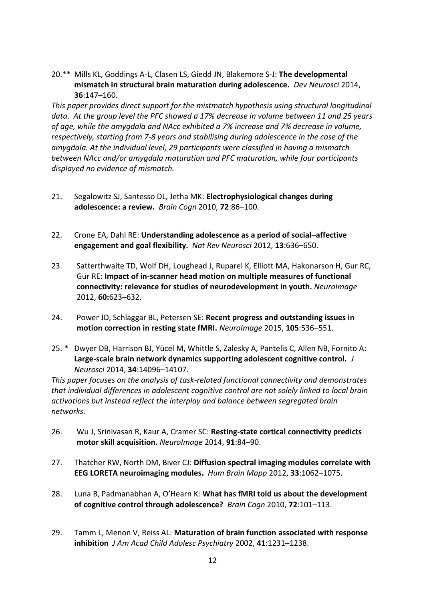20.\*\* Mills KL, Goddings A-L, Clasen LS, Giedd JN, Blakemore S-J: **The developmental mismatch in structural brain maturation during adolescence.** *Dev Neurosci* 2014, **36**:147–160.

*This paper provides direct support for the mistmatch hypothesis using structural longitudinal data. At the group level the PFC showed a 17% decrease in volume between 11 and 25 years of age, while the amygdala and NAcc exhibited a 7% increase and 7% decrease in volume, respectively, starting from 7-8 years and stabilising during adolescence in the case of the amygdala. At the individual level, 29 participants were classified in having a mismatch between NAcc and/or amygdala maturation and PFC maturation, while four participants displayed no evidence of mismatch.*

- 21. Segalowitz SJ, Santesso DL, Jetha MK: **Electrophysiological changes during adolescence: a review.** *Brain Cogn* 2010, **72**:86–100.
- 22. Crone EA, Dahl RE: **Understanding adolescence as a period of social–affective engagement and goal flexibility.** *Nat Rev Neurosci* 2012, **13**:636–650.
- 23. Satterthwaite TD, Wolf DH, Loughead J, Ruparel K, Elliott MA, Hakonarson H, Gur RC, Gur RE: **Impact of in-scanner head motion on multiple measures of functional connectivity: relevance for studies of neurodevelopment in youth.** *NeuroImage*  2012, **60:**623–632.
- 24. Power JD, Schlaggar BL, Petersen SE: **Recent progress and outstanding issues in motion correction in resting state fMRI.** *NeuroImage* 2015, **105**:536–551.
- 25. \* Dwyer DB, Harrison BJ, Yücel M, Whittle S, Zalesky A, Pantelis C, Allen NB, Fornito A: **Large-scale brain network dynamics supporting adolescent cognitive control.** *J Neurosci* 2014, **34**:14096–14107.

*This paper focuses on the analysis of task-related functional connectivity and demonstrates that individual differences in adolescent cognitive control are not solely linked to local brain activations but instead reflect the interplay and balance between segregated brain networks.*

- 26. Wu J, Srinivasan R, Kaur A, Cramer SC: **Resting-state cortical connectivity predicts motor skill acquisition.** *NeuroImage* 2014, **91**:84–90.
- 27. Thatcher RW, North DM, Biver CJ: **Diffusion spectral imaging modules correlate with EEG LORETA neuroimaging modules.** *Hum Brain Mapp* 2012, **33**:1062–1075.
- 28. Luna B, Padmanabhan A, O'Hearn K: **What has fMRI told us about the development of cognitive control through adolescence?** *Brain Cogn* 2010, **72**:101–113.
- 29. Tamm L, Menon V, Reiss AL: **Maturation of brain function associated with response inhibition** *J Am Acad Child Adolesc Psychiatry* 2002, **41**:1231–1238.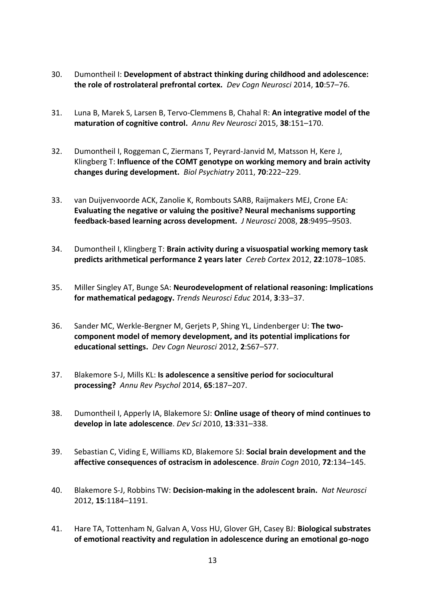- 30. Dumontheil I: **Development of abstract thinking during childhood and adolescence: the role of rostrolateral prefrontal cortex.** *Dev Cogn Neurosci* 2014, **10**:57–76.
- 31. Luna B, Marek S, Larsen B, Tervo-Clemmens B, Chahal R: **An integrative model of the maturation of cognitive control.** *Annu Rev Neurosci* 2015, **38**:151–170.
- 32. Dumontheil I, Roggeman C, Ziermans T, Peyrard-Janvid M, Matsson H, Kere J, Klingberg T: **Influence of the COMT genotype on working memory and brain activity changes during development.** *Biol Psychiatry* 2011, **70**:222–229.
- 33. van Duijvenvoorde ACK, Zanolie K, Rombouts SARB, Raijmakers MEJ, Crone EA: **Evaluating the negative or valuing the positive? Neural mechanisms supporting feedback-based learning across development.** *J Neurosci* 2008, **28**:9495–9503.
- 34. Dumontheil I, Klingberg T: **Brain activity during a visuospatial working memory task predicts arithmetical performance 2 years later** *Cereb Cortex* 2012, **22**:1078–1085.
- 35. Miller Singley AT, Bunge SA: **Neurodevelopment of relational reasoning: Implications for mathematical pedagogy.** *Trends Neurosci Educ* 2014, **3**:33–37.
- 36. Sander MC, Werkle-Bergner M, Gerjets P, Shing YL, Lindenberger U: **The twocomponent model of memory development, and its potential implications for educational settings.** *Dev Cogn Neurosci* 2012, **2**:S67–S77.
- 37. Blakemore S-J, Mills KL: **Is adolescence a sensitive period for sociocultural processing?** *Annu Rev Psychol* 2014, **65**:187–207.
- 38. Dumontheil I, Apperly IA, Blakemore SJ: **Online usage of theory of mind continues to develop in late adolescence**. *Dev Sci* 2010, **13**:331–338.
- 39. Sebastian C, Viding E, Williams KD, Blakemore SJ: **Social brain development and the affective consequences of ostracism in adolescence**. *Brain Cogn* 2010, **72**:134–145.
- 40. Blakemore S-J, Robbins TW: **Decision-making in the adolescent brain.** *Nat Neurosci* 2012, **15**:1184–1191.
- 41. Hare TA, Tottenham N, Galvan A, Voss HU, Glover GH, Casey BJ: **Biological substrates of emotional reactivity and regulation in adolescence during an emotional go-nogo**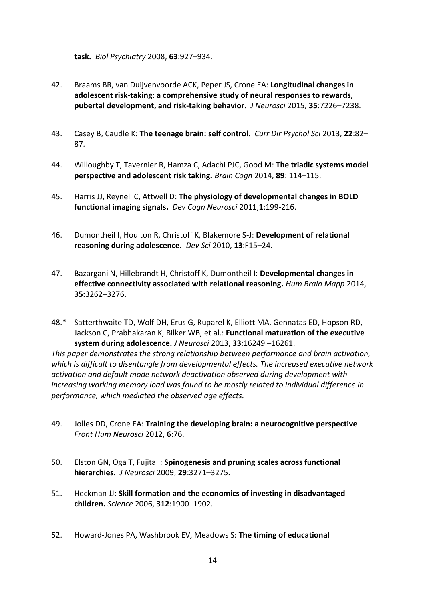**task.** *Biol Psychiatry* 2008, **63**:927–934.

- 42. Braams BR, van Duijvenvoorde ACK, Peper JS, Crone EA: **Longitudinal changes in adolescent risk-taking: a comprehensive study of neural responses to rewards, pubertal development, and risk-taking behavior.** *J Neurosci* 2015, **35**:7226–7238.
- 43. Casey B, Caudle K: **The teenage brain: self control.** *Curr Dir Psychol Sci* 2013, **22**:82– 87.
- 44. Willoughby T, Tavernier R, Hamza C, Adachi PJC, Good M: **The triadic systems model perspective and adolescent risk taking.** *Brain Cogn* 2014, **89**: 114–115.
- 45. Harris JJ, Reynell C, Attwell D: **The physiology of developmental changes in BOLD functional imaging signals.** *Dev Cogn Neurosci* 2011,**1**:199-216.
- 46. Dumontheil I, Houlton R, Christoff K, Blakemore S-J: **Development of relational reasoning during adolescence.** *Dev Sci* 2010, **13**:F15–24.
- 47. Bazargani N, Hillebrandt H, Christoff K, Dumontheil I: **Developmental changes in effective connectivity associated with relational reasoning.** *Hum Brain Mapp* 2014, **35:**3262–3276.
- 48.\* Satterthwaite TD, Wolf DH, Erus G, Ruparel K, Elliott MA, Gennatas ED, Hopson RD, Jackson C, Prabhakaran K, Bilker WB, et al.: **Functional maturation of the executive system during adolescence.** *J Neurosci* 2013, **33**:16249 –16261.

*This paper demonstrates the strong relationship between performance and brain activation, which is difficult to disentangle from developmental effects. The increased executive network activation and default mode network deactivation observed during development with increasing working memory load was found to be mostly related to individual difference in performance, which mediated the observed age effects.*

- 49. Jolles DD, Crone EA: **Training the developing brain: a neurocognitive perspective**  *Front Hum Neurosci* 2012, **6**:76.
- 50. Elston GN, Oga T, Fujita I: **Spinogenesis and pruning scales across functional hierarchies.** *J Neurosci* 2009, **29**:3271–3275.
- 51. Heckman JJ: **Skill formation and the economics of investing in disadvantaged children.** *Science* 2006, **312**:1900–1902.
- 52. Howard-Jones PA, Washbrook EV, Meadows S: **The timing of educational**